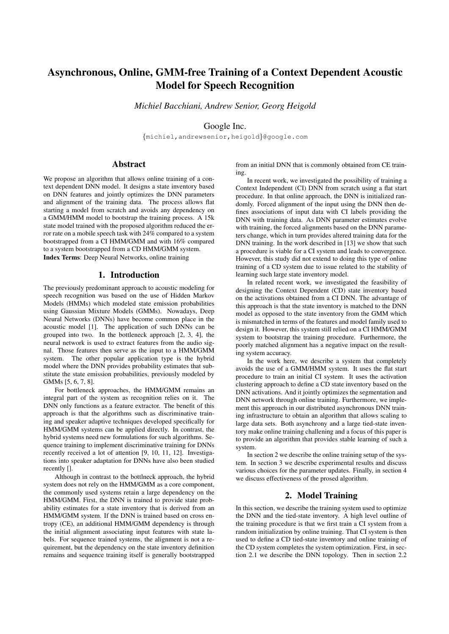# Asynchronous, Online, GMM-free Training of a Context Dependent Acoustic Model for Speech Recognition

*Michiel Bacchiani, Andrew Senior, Georg Heigold*

Google Inc.

{michiel,andrewsenior,heigold}@google.com

# Abstract

We propose an algorithm that allows online training of a context dependent DNN model. It designs a state inventory based on DNN features and jointly optimizes the DNN parameters and alignment of the training data. The process allows flat starting a model from scratch and avoids any dependency on a GMM/HMM model to bootstrap the training process. A 15k state model trained with the proposed algorithm reduced the error rate on a mobile speech task with 24% compared to a system bootstrapped from a CI HMM/GMM and with 16% compared to a system bootstrapped from a CD HMM/GMM system. Index Terms: Deep Neural Networks, online training

# 1. Introduction

The previously predominant approach to acoustic modeling for speech recognition was based on the use of Hidden Markov Models (HMMs) which modeled state emission probabilities using Gaussian Mixture Models (GMMs). Nowadays, Deep Neural Networks (DNNs) have become common place in the acoustic model [1]. The application of such DNNs can be grouped into two. In the bottleneck approach [2, 3, 4], the neural network is used to extract features from the audio signal. Those features then serve as the input to a HMM/GMM system. The other popular application type is the hybrid model where the DNN provides probability estimates that substitute the state emission probabilities, previously modeled by GMMs [5, 6, 7, 8].

For bottleneck approaches, the HMM/GMM remains an integral part of the system as recognition relies on it. The DNN only functions as a feature extractor. The benefit of this approach is that the algorithms such as discriminative training and speaker adaptive techniques developed specifically for HMM/GMM systems can be applied directly. In contrast, the hybrid systems need new formulations for such algorithms. Sequence training to implement discriminative training for DNNs recently received a lot of attention [9, 10, 11, 12]. Investigations into speaker adaptation for DNNs have also been studied recently [].

Although in contrast to the bottlneck approach, the hybrid system does not rely on the HMM/GMM as a core component, the commonly used systems retain a large dependency on the HMM/GMM. First, the DNN is trained to provide state probability estimates for a state inventory that is derived from an HMM/GMM system. If the DNN is trained based on cross entropy (CE), an additional HMM/GMM dependency is through the initial alignment associating input features with state labels. For sequence trained systems, the alignment is not a requirement, but the dependency on the state inventory definition remains and sequence training itself is generally bootstrapped

from an initial DNN that is commonly obtained from CE training.

In recent work, we investigated the possibility of training a Context Independent (CI) DNN from scratch using a flat start procedure. In that online approach, the DNN is initialized randomly. Forced alignment of the input using the DNN then defines associations of input data with CI labels providing the DNN with training data. As DNN parameter estimates evolve with training, the forced alignments based on the DNN parameters change, which in turn provides altered training data for the DNN training. In the work described in [13] we show that such a procedure is viable for a CI system and leads to convergence. However, this study did not extend to doing this type of online training of a CD system due to issue related to the stability of learning such large state inventory model.

In related recent work, we investigated the feasibility of designing the Context Dependent (CD) state inventory based on the activations obtained from a CI DNN. The advantage of this approach is that the state inventory is matched to the DNN model as opposed to the state inventory from the GMM which is mismatched in terms of the features and model family used to design it. However, this system still relied on a CI HMM/GMM system to bootstrap the training procedure. Furthermore, the poorly matched alignment has a negative impact on the resulting system accuracy.

In the work here, we describe a system that completely avoids the use of a GMM/HMM system. It uses the flat start procedure to train an initial CI system. It uses the activation clustering approach to define a CD state inventory based on the DNN activations. And it jointly optimizes the segmentation and DNN network through online training. Furthermore, we implement this approach in our distributed asynchronous DNN training infrastructure to obtain an algorithm that allows scaling to large data sets. Both asynchrony and a large tied-state inventory make online training challening and a focus of this paper is to provide an algorithm that provides stable learning of such a system.

In section 2 we describe the online training setup of the system. In section 3 we describe experimental results and discuss various choices for the parameter updates. Finally, in section 4 we discuss effectiveness of the prosed algorithm.

# 2. Model Training

In this section, we describe the training system used to optimize the DNN and the tied-state inventory. A high level outline of the training procedure is that we first train a CI system from a random initialization by online training. That CI system is then used to define a CD tied-state inventory and online training of the CD system completes the system optimization. First, in section 2.1 we describe the DNN topology. Then in section 2.2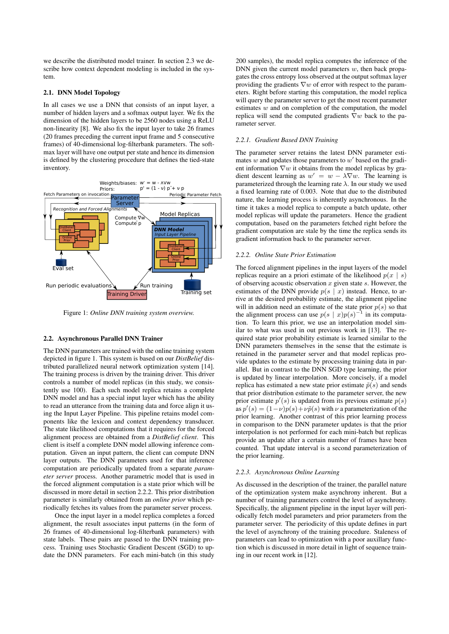we describe the distributed model trainer. In section 2.3 we describe how context dependent modeling is included in the system.

#### 2.1. DNN Model Topology

In all cases we use a DNN that consists of an input layer, a number of hidden layers and a softmax output layer. We fix the dimension of the hidden layers to be 2560 nodes using a ReLU non-linearity [8]. We also fix the input layer to take 26 frames (20 frames preceding the current input frame and 5 consecutive frames) of 40-dimensional log-filterbank parameters. The softmax layer will have one output per state and hence its dimension is defined by the clustering procedure that defines the tied-state inventory.



Figure 1: *Online DNN training system overview.*

#### 2.2. Asynchronous Parallel DNN Trainer

The DNN parameters are trained with the online training system depicted in figure 1. This system is based on our *DistBelief* distributed parallelized neural network optimization system [14]. The training process is driven by the training driver. This driver controls a number of model replicas (in this study, we consistently use 100). Each such model replica retains a complete DNN model and has a special input layer which has the ability to read an utterance from the training data and force align it using the Input Layer Pipeline. This pipeline retains model components like the lexicon and context dependency transducer. The state likelihood computations that it requires for the forced alignment process are obtained from a *DistBelief client*. This client is itself a complete DNN model allowing inference computation. Given an input pattern, the client can compute DNN layer outputs. The DNN parameters used for that inference computation are periodically updated from a separate *parameter server* process. Another parametric model that is used in the forced alignment computation is a state prior which will be discussed in more detail in section 2.2.2. This prior distribution parameter is similarly obtained from an *online prior* which periodically fetches its values from the parameter server process.

Once the input layer in a model replica completes a forced alignment, the result associates input patterns (in the form of 26 frames of 40-dimensional log-filterbank parameters) with state labels. These pairs are passed to the DNN training process. Training uses Stochastic Gradient Descent (SGD) to update the DNN parameters. For each mini-batch (in this study

200 samples), the model replica computes the inference of the DNN given the current model parameters  $w$ , then back propagates the cross entropy loss observed at the output softmax layer providing the gradients  $\nabla w$  of error with respect to the parameters. Right before starting this computation, the model replica will query the parameter server to get the most recent parameter estimates  $w$  and on completion of the computation, the model replica will send the computed gradients  $\nabla w$  back to the parameter server.

#### *2.2.1. Gradient Based DNN Training*

The parameter server retains the latest DNN parameter estimates  $w$  and updates those parameters to  $w'$  based on the gradient information  $\nabla w$  it obtains from the model replicas by gradient descent learning as  $w' = w - \lambda \nabla w$ . The learning is parameterized through the learning rate  $\lambda$ . In our study we used a fixed learning rate of 0.003. Note that due to the distributed nature, the learning process is inherently asynchronous. In the time it takes a model replica to compute a batch update, other model replicas will update the parameters. Hence the gradient computation, based on the parameters fetched right before the gradient computation are stale by the time the replica sends its gradient information back to the parameter server.

#### *2.2.2. Online State Prior Estimation*

The forced alignment pipelines in the input layers of the model replicas require an a priori estimate of the likelihood  $p(x \mid s)$ of observing acoustic observation  $x$  given state  $s$ . However, the estimates of the DNN provide  $p(s | x)$  instead. Hence, to arrive at the desired probability estimate, the alignment pipeline will in addition need an estimate of the state prior  $p(s)$  so that the alignment process can use  $p(s | x)p(s)^{-1}$  in its computation. To learn this prior, we use an interpolation model similar to what was used in out previous work in [13]. The required state prior probability estimate is learned similar to the DNN parameters themselves in the sense that the estimate is retained in the parameter server and that model replicas provide updates to the estimate by processing training data in parallel. But in contrast to the DNN SGD type learning, the prior is updated by linear interpolation. More concisely, if a model replica has estimated a new state prior estimate  $\tilde{p}(s)$  and sends that prior distribution estimate to the parameter server, the new prior estimate  $p'(s)$  is updated from its previous estimate  $p(s)$ as  $p'(s) = (1 - \nu)p(s) + \nu \tilde{p}(s)$  with  $\nu$  a parameterization of the prior learning. Another contrast of this prior learning process in comparison to the DNN parameter updates is that the prior interpolation is not performed for each mini-batch but replicas provide an update after a certain number of frames have been counted. That update interval is a second parameterization of the prior learning.

#### *2.2.3. Asynchronous Online Learning*

As discussed in the description of the trainer, the parallel nature of the optimization system make asynchrony inherent. But a number of training parameters control the level of asynchrony. Specifically, the alignment pipeline in the input layer will periodically fetch model parameters and prior parameters from the parameter server. The periodicity of this update defines in part the level of asynchrony of the training procedure. Staleness of parameters can lead to optimization with a poor auxillary function which is discussed in more detail in light of sequence training in our recent work in [12].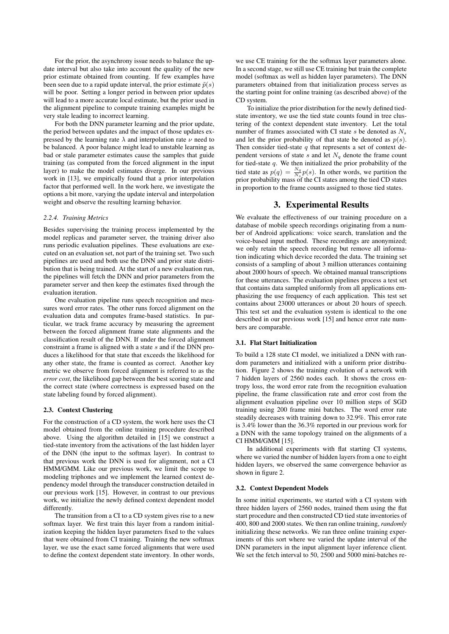For the prior, the asynchrony issue needs to balance the update interval but also take into account the quality of the new prior estimate obtained from counting. If few examples have been seen due to a rapid update interval, the prior estimate  $\tilde{p}(s)$ will be poor. Setting a longer period in between prior updates will lead to a more accurate local estimate, but the prior used in the alignment pipeline to compute training examples might be very stale leading to incorrect learning.

For both the DNN parameter learning and the prior update, the period between updates and the impact of those updates expressed by the learning rate  $\lambda$  and interpolation rate  $\nu$  need to be balanced. A poor balance might lead to unstable learning as bad or stale parameter estimates cause the samples that guide training (as computed from the forced alignment in the input layer) to make the model estimates diverge. In our previous work in [13], we empirically found that a prior interpolation factor that performed well. In the work here, we investigate the options a bit more, varying the update interval and interpolation weight and observe the resulting learning behavior.

### *2.2.4. Training Metrics*

Besides supervising the training process implemented by the model replicas and parameter server, the training driver also runs periodic evaluation pipelines. These evaluations are executed on an evaluation set, not part of the training set. Two such pipelines are used and both use the DNN and prior state distribution that is being trained. At the start of a new evaluation run, the pipelines will fetch the DNN and prior parameters from the parameter server and then keep the estimates fixed through the evaluation iteration.

One evaluation pipeline runs speech recognition and measures word error rates. The other runs forced alignment on the evaluation data and computes frame-based statistics. In particular, we track frame accuracy by measuring the agreement between the forced alignment frame state alignments and the classification result of the DNN. If under the forced alignment constraint a frame is aligned with a state s and if the DNN produces a likelihood for that state that exceeds the likelihood for any other state, the frame is counted as correct. Another key metric we observe from forced alignment is referred to as the *error cost*, the likelihood gap between the best scoring state and the correct state (where correctness is expressed based on the state labeling found by forced alignment).

### 2.3. Context Clustering

For the construction of a CD system, the work here uses the CI model obtained from the online training procedure described above. Using the algorithm detailed in [15] we construct a tied-state inventory from the activations of the last hidden layer of the DNN (the input to the softmax layer). In contrast to that previous work the DNN is used for alignment, not a CI HMM/GMM. Like our previous work, we limit the scope to modeling triphones and we implement the learned context dependency model through the transducer construction detailed in our previous work [15]. However, in contrast to our previous work, we initialize the newly defined context dependent model differently.

The transition from a CI to a CD system gives rise to a new softmax layer. We first train this layer from a random initialization keeping the hidden layer parameters fixed to the values that were obtained from CI training. Training the new softmax layer, we use the exact same forced alignments that were used to define the context dependent state inventory. In other words,

we use CE training for the the softmax layer parameters alone. In a second stage, we still use CE training but train the complete model (softmax as well as hidden layer parameters). The DNN parameters obtained from that initialization process serves as the starting point for online training (as described above) of the CD system.

To initialize the prior distribution for the newly defined tiedstate inventory, we use the tied state counts found in tree clustering of the context dependent state inventory. Let the total number of frames associated with CI state  $s$  be denoted as  $N_s$ and let the prior probability of that state be denoted as  $p(s)$ . Then consider tied-state  $q$  that represents a set of context dependent versions of state s and let  $N_q$  denote the frame count for tied-state  $q$ . We then initialized the prior probability of the tied state as  $p(q) = \frac{N_q}{N_s} p(s)$ . In other words, we partition the prior probability mass of the CI states among the tied CD states in proportion to the frame counts assigned to those tied states.

# 3. Experimental Results

We evaluate the effectiveness of our training procedure on a database of mobile speech recordings originating from a number of Android applications: voice search, translation and the voice-based input method. These recordings are anonymized; we only retain the speech recording but remove all information indicating which device recorded the data. The training set consists of a sampling of about 3 million utterances containing about 2000 hours of speech. We obtained manual transcriptions for these utterances. The evaluation pipelines process a test set that contains data sampled uniformly from all applications emphasizing the use frequency of each application. This test set contains about 23000 utterances or about 20 hours of speech. This test set and the evaluation system is identical to the one described in our previous work [15] and hence error rate numbers are comparable.

### 3.1. Flat Start Initialization

To build a 128 state CI model, we initialized a DNN with random parameters and initialized with a uniform prior distribution. Figure 2 shows the training evolution of a network with 7 hidden layers of 2560 nodes each. It shows the cross entropy loss, the word error rate from the recognition evaluation pipeline, the frame classification rate and error cost from the alignment evaluation pipeline over 10 million steps of SGD training using 200 frame mini batches. The word error rate steadily decreases with training down to 32.9%. This error rate is 3.4% lower than the 36.3% reported in our previous work for a DNN with the same topology trained on the alignments of a CI HMM/GMM [15].

In additional experiments with flat starting CI systems, where we varied the number of hidden layers from a one to eight hidden layers, we observed the same convergence behavior as shown in figure 2.

#### 3.2. Context Dependent Models

In some initial experiments, we started with a CI system with three hidden layers of 2560 nodes, trained them using the flat start procedure and then constructed CD tied state inventories of 400, 800 and 2000 states. We then ran online training, *randomly* initializing these networks. We ran three online training experiments of this sort where we varied the update interval of the DNN parameters in the input alignment layer inference client. We set the fetch interval to 50, 2500 and 5000 mini-batches re-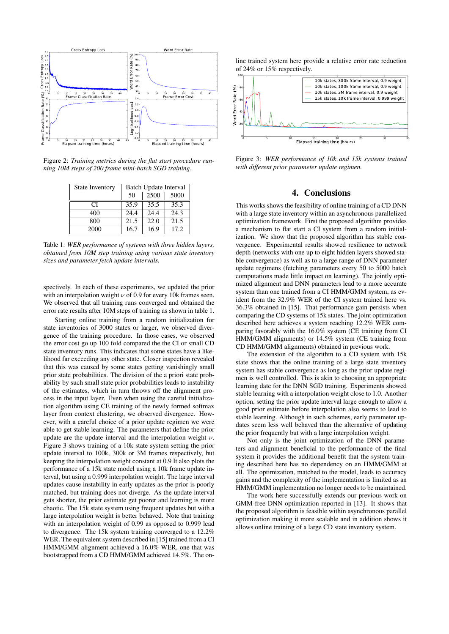

Figure 2: *Training metrics during the flat start procedure running 10M steps of 200 frame mini-batch SGD training.*

| <b>State Inventory</b> | Batch Update Interval |      |       |
|------------------------|-----------------------|------|-------|
|                        | 50                    | 2500 | 5000  |
| CI                     | 35.9                  | 35.5 | 35.3  |
| 400                    | 24.4                  | 24.4 | 24.3  |
| 800                    | 21.5                  | 22.0 | 21.5  |
| 2000                   | 16.7                  | 16.9 | 17.2. |

Table 1: *WER performance of systems with three hidden layers, obtained from 10M step training using various state inventory sizes and parameter fetch update intervals.*

spectively. In each of these experiments, we updated the prior with an interpolation weight  $\nu$  of 0.9 for every 10k frames seen. We observed that all training runs converged and obtained the error rate results after 10M steps of training as shown in table 1.

Starting online training from a random initialization for state inventories of 3000 states or larger, we observed divergence of the training procedure. In those cases, we observed the error cost go up 100 fold compared the the CI or small CD state inventory runs. This indicates that some states have a likelihood far exceeding any other state. Closer inspection revealed that this was caused by some states getting vanishingly small prior state probabilities. The division of the a priori state probability by such small state prior probabilities leads to instability of the estimates, which in turn throws off the alignment process in the input layer. Even when using the careful initialization algorithm using CE training of the newly formed softmax layer from context clustering, we observed divergence. However, with a careful choice of a prior update regimen we were able to get stable learning. The parameters that define the prior update are the update interval and the interpolation weight  $\nu$ . Figure 3 shows training of a 10k state system setting the prior update interval to 100k, 300k or 3M frames respectively, but keeping the interpolation weight constant at 0.9 It also plots the performance of a 15k state model using a 10k frame update interval, but using a 0.999 interpolation weight. The large interval updates cause instability in early updates as the prior is poorly matched, but training does not diverge. As the update interval gets shorter, the prior estimate get poorer and learning is more chaotic. The 15k state system using frequent updates but with a large interpolation weight is better behaved. Note that training with an interpolation weight of 0.99 as opposed to 0.999 lead to divergence. The 15k system training converged to a 12.2% WER. The equivalent system described in [15] trained from a CI HMM/GMM alignment achieved a 16.0% WER, one that was bootstrapped from a CD HMM/GMM achieved 14.5%. The online trained system here provide a relative error rate reduction of 24% or 15% respectively.



Figure 3: *WER performance of 10k and 15k systems trained with different prior parameter update regimen.*

# 4. Conclusions

This works shows the feasibility of online training of a CD DNN with a large state inventory within an asynchronous parallelized optimization framework. First the proposed algorithm provides a mechanism to flat start a CI system from a random initialization. We show that the proposed algorithm has stable convergence. Experimental results showed resilience to network depth (networks with one up to eight hidden layers showed stable convergence) as well as to a large range of DNN parameter update regimens (fetching parameters every 50 to 5000 batch computations made little impact on learning). The jointly optimized alignment and DNN parameters lead to a more accurate system than one trained from a CI HMM/GMM system, as evident from the 32.9% WER of the CI system trained here vs. 36.3% obtained in [15]. That performance gain persists when comparing the CD systems of 15k states. The joint optimization described here achieves a system reaching 12.2% WER comparing favorably with the 16.0% system (CE training from CI HMM/GMM alignments) or 14.5% system (CE training from CD HMM/GMM alignments) obtained in previous work.

The extension of the algorithm to a CD system with 15k state shows that the online training of a large state inventory system has stable convergence as long as the prior update regimen is well controlled. This is akin to choosing an appropriate learning date for the DNN SGD training. Experiments showed stable learning with a interpolation weight close to 1.0. Another option, setting the prior update interval large enough to allow a good prior estimate before interpolation also seems to lead to stable learning. Although in such schemes, early parameter updates seem less well behaved than the alternative of updating the prior frequently but with a large interpolation weight.

Not only is the joint optimization of the DNN parameters and alignment beneficial to the performance of the final system it provides the additional benefit that the system training described here has no dependency on an HMM/GMM at all. The optimization, matched to the model, leads to accuracy gains and the complexity of the implementation is limited as an HMM/GMM implementation no longer needs to be maintained.

The work here successfully extends our previous work on GMM-free DNN optimization reported in [13]. It shows that the proposed algorithm is feasible within asynchronous parallel optimization making it more scalable and in addition shows it allows online training of a large CD state inventory system.